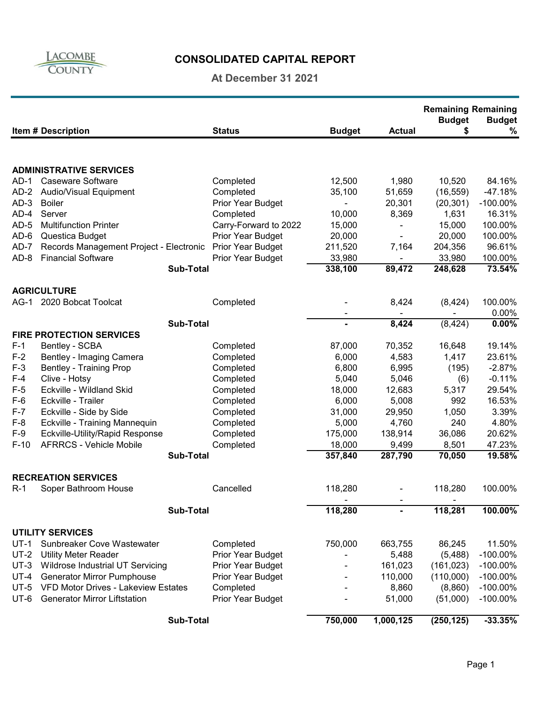

# **CONSOLIDATED CAPITAL REPORT**

### **At December 31 2021**

|                                 |                                            |                       |               |                              | <b>Remaining Remaining</b><br><b>Budget</b> | <b>Budget</b> |
|---------------------------------|--------------------------------------------|-----------------------|---------------|------------------------------|---------------------------------------------|---------------|
|                                 | <b>Item # Description</b>                  | <b>Status</b>         | <b>Budget</b> | <b>Actual</b>                | \$                                          | $\%$          |
|                                 |                                            |                       |               |                              |                                             |               |
|                                 | <b>ADMINISTRATIVE SERVICES</b>             |                       |               |                              |                                             |               |
| $AD-1$                          | <b>Caseware Software</b>                   | Completed             | 12,500        | 1,980                        | 10,520                                      | 84.16%        |
| $AD-2$                          | Audio/Visual Equipment                     | Completed             | 35,100        | 51,659                       | (16, 559)                                   | $-47.18%$     |
| $AD-3$                          | <b>Boiler</b>                              | Prior Year Budget     |               | 20,301                       | (20, 301)                                   | $-100.00\%$   |
| $AD-4$                          | Server                                     | Completed             | 10,000        | 8,369                        | 1,631                                       | 16.31%        |
| $AD-5$                          | <b>Multifunction Printer</b>               | Carry-Forward to 2022 | 15,000        |                              | 15,000                                      | 100.00%       |
| $AD-6$                          | Questica Budget                            | Prior Year Budget     | 20,000        | $\qquad \qquad \blacksquare$ | 20,000                                      | 100.00%       |
| $AD-7$                          | Records Management Project - Electronic    | Prior Year Budget     | 211,520       | 7,164                        | 204,356                                     | 96.61%        |
| $AD-8$                          | <b>Financial Software</b>                  | Prior Year Budget     | 33,980        |                              | 33,980                                      | 100.00%       |
|                                 | <b>Sub-Total</b>                           |                       | 338,100       | 89,472                       | 248,628                                     | 73.54%        |
|                                 | <b>AGRICULTURE</b>                         |                       |               |                              |                                             |               |
|                                 | AG-1 2020 Bobcat Toolcat                   | Completed             |               | 8,424                        | (8, 424)                                    | 100.00%       |
|                                 |                                            |                       |               | $\blacksquare$               |                                             | 0.00%         |
|                                 | <b>Sub-Total</b>                           |                       |               | 8,424                        | (8, 424)                                    | 0.00%         |
| <b>FIRE PROTECTION SERVICES</b> |                                            |                       |               |                              |                                             |               |
| $F-1$                           | Bentley - SCBA                             | Completed             | 87,000        | 70,352                       | 16,648                                      | 19.14%        |
| $F-2$                           | Bentley - Imaging Camera                   | Completed             | 6,000         | 4,583                        | 1,417                                       | 23.61%        |
| $F-3$                           | <b>Bentley - Training Prop</b>             | Completed             | 6,800         | 6,995                        | (195)                                       | $-2.87%$      |
| $F-4$                           | Clive - Hotsy                              | Completed             | 5,040         | 5,046                        | (6)                                         | $-0.11%$      |
| $F-5$                           | Eckville - Wildland Skid                   | Completed             | 18,000        | 12,683                       | 5,317                                       | 29.54%        |
| $F-6$                           | Eckville - Trailer                         | Completed             | 6,000         | 5,008                        | 992                                         | 16.53%        |
| $F-7$                           | Eckville - Side by Side                    | Completed             | 31,000        | 29,950                       | 1,050                                       | 3.39%         |
| $F-8$                           | Eckville - Training Mannequin              | Completed             | 5,000         | 4,760                        | 240                                         | 4.80%         |
| $F-9$                           | Eckville-Utility/Rapid Response            | Completed             | 175,000       | 138,914                      | 36,086                                      | 20.62%        |
| $F-10$                          | <b>AFRRCS - Vehicle Mobile</b>             | Completed             | 18,000        | 9,499                        | 8,501                                       | 47.23%        |
|                                 | <b>Sub-Total</b>                           |                       | 357,840       | 287,790                      | 70,050                                      | 19.58%        |
|                                 | <b>RECREATION SERVICES</b>                 |                       |               |                              |                                             |               |
|                                 |                                            |                       |               |                              |                                             |               |
| $R-1$                           | Soper Bathroom House                       | Cancelled             | 118,280       |                              | 118,280                                     | 100.00%       |
|                                 | <b>Sub-Total</b>                           |                       | 118,280       |                              | 118,281                                     | 100.00%       |
|                                 | <b>UTILITY SERVICES</b>                    |                       |               |                              |                                             |               |
| $UT-1$                          | Sunbreaker Cove Wastewater                 | Completed             | 750,000       | 663,755                      | 86,245                                      | 11.50%        |
| $UT-2$                          | <b>Utility Meter Reader</b>                | Prior Year Budget     |               | 5,488                        | (5,488)                                     | $-100.00\%$   |
| $UT-3$                          | Wildrose Industrial UT Servicing           | Prior Year Budget     |               | 161,023                      | (161, 023)                                  | $-100.00\%$   |
| $UT-4$                          | <b>Generator Mirror Pumphouse</b>          | Prior Year Budget     |               | 110,000                      | (110,000)                                   | $-100.00\%$   |
| $UT-5$                          | <b>VFD Motor Drives - Lakeview Estates</b> | Completed             |               | 8,860                        | (8,860)                                     | $-100.00\%$   |
| $UT-6$                          | <b>Generator Mirror Liftstation</b>        | Prior Year Budget     |               | 51,000                       | (51,000)                                    | $-100.00\%$   |
| <b>Sub-Total</b>                |                                            |                       | 750,000       | 1,000,125                    | (250, 125)                                  | $-33.35%$     |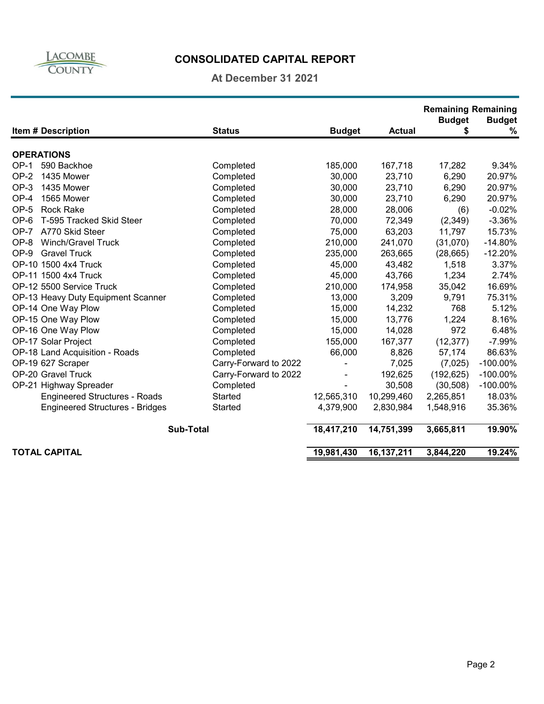

# **CONSOLIDATED CAPITAL REPORT**

**At December 31 2021**

|                                        |                       |               |               | <b>Remaining Remaining</b> |                    |
|----------------------------------------|-----------------------|---------------|---------------|----------------------------|--------------------|
| <b>Item # Description</b>              | <b>Status</b>         | <b>Budget</b> | <b>Actual</b> | <b>Budget</b><br>\$        | <b>Budget</b><br>% |
|                                        |                       |               |               |                            |                    |
| <b>OPERATIONS</b>                      |                       |               |               |                            |                    |
| 590 Backhoe<br>$OP-1$                  | Completed             | 185,000       | 167,718       | 17,282                     | 9.34%              |
| $OP-2$<br>1435 Mower                   | Completed             | 30,000        | 23,710        | 6,290                      | 20.97%             |
| OP-3<br>1435 Mower                     | Completed             | 30,000        | 23,710        | 6,290                      | 20.97%             |
| OP-4<br>1565 Mower                     | Completed             | 30,000        | 23,710        | 6,290                      | 20.97%             |
| OP-5<br><b>Rock Rake</b>               | Completed             | 28,000        | 28,006        | (6)                        | $-0.02%$           |
| OP-6<br>T-595 Tracked Skid Steer       | Completed             | 70,000        | 72,349        | (2,349)                    | $-3.36%$           |
| OP-7 A770 Skid Steer                   | Completed             | 75,000        | 63,203        | 11,797                     | 15.73%             |
| <b>Winch/Gravel Truck</b><br>OP-8      | Completed             | 210,000       | 241,070       | (31,070)                   | $-14.80%$          |
| $OP-9$<br><b>Gravel Truck</b>          | Completed             | 235,000       | 263,665       | (28, 665)                  | $-12.20%$          |
| OP-10 1500 4x4 Truck                   | Completed             | 45,000        | 43,482        | 1,518                      | 3.37%              |
| OP-11 1500 4x4 Truck                   | Completed             | 45,000        | 43,766        | 1,234                      | 2.74%              |
| OP-12 5500 Service Truck               | Completed             | 210,000       | 174,958       | 35,042                     | 16.69%             |
| OP-13 Heavy Duty Equipment Scanner     | Completed             | 13,000        | 3,209         | 9,791                      | 75.31%             |
| OP-14 One Way Plow                     | Completed             | 15,000        | 14,232        | 768                        | 5.12%              |
| OP-15 One Way Plow                     | Completed             | 15,000        | 13,776        | 1,224                      | 8.16%              |
| OP-16 One Way Plow                     | Completed             | 15,000        | 14,028        | 972                        | 6.48%              |
| OP-17 Solar Project                    | Completed             | 155,000       | 167,377       | (12, 377)                  | $-7.99%$           |
| OP-18 Land Acquisition - Roads         | Completed             | 66,000        | 8,826         | 57,174                     | 86.63%             |
| OP-19 627 Scraper                      | Carry-Forward to 2022 |               | 7,025         | (7,025)                    | $-100.00\%$        |
| OP-20 Gravel Truck                     | Carry-Forward to 2022 |               | 192,625       | (192, 625)                 | $-100.00\%$        |
| OP-21 Highway Spreader                 | Completed             |               | 30,508        | (30, 508)                  | $-100.00\%$        |
| <b>Engineered Structures - Roads</b>   | Started               | 12,565,310    | 10,299,460    | 2,265,851                  | 18.03%             |
| <b>Engineered Structures - Bridges</b> | Started               | 4,379,900     | 2,830,984     | 1,548,916                  | 35.36%             |
| <b>Sub-Total</b>                       |                       | 18,417,210    | 14,751,399    | 3,665,811                  | 19.90%             |
| <b>TOTAL CAPITAL</b>                   |                       | 19,981,430    | 16,137,211    | 3,844,220                  | 19.24%             |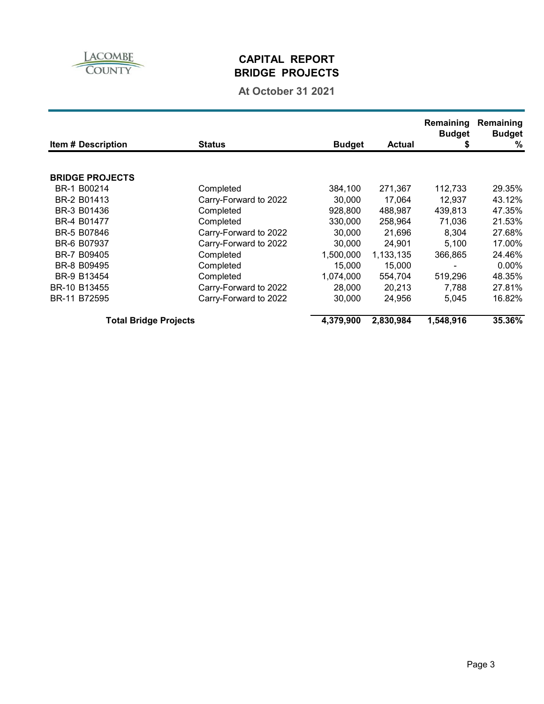

### **CAPITAL REPORT BRIDGE PROJECTS**

### **At October 31 2021**

| <b>Item # Description</b>    | <b>Status</b>         | <b>Budget</b> | <b>Actual</b> | Remaining<br><b>Budget</b><br>\$ | Remaining<br><b>Budget</b><br>% |
|------------------------------|-----------------------|---------------|---------------|----------------------------------|---------------------------------|
|                              |                       |               |               |                                  |                                 |
| <b>BRIDGE PROJECTS</b>       |                       |               |               |                                  |                                 |
| BR-1 B00214                  | Completed             | 384,100       | 271,367       | 112,733                          | 29.35%                          |
| BR-2 B01413                  | Carry-Forward to 2022 | 30,000        | 17.064        | 12,937                           | 43.12%                          |
| BR-3 B01436                  | Completed             | 928,800       | 488,987       | 439,813                          | 47.35%                          |
| BR-4 B01477                  | Completed             | 330,000       | 258,964       | 71,036                           | 21.53%                          |
| BR-5 B07846                  | Carry-Forward to 2022 | 30,000        | 21,696        | 8.304                            | 27.68%                          |
| BR-6 B07937                  | Carry-Forward to 2022 | 30,000        | 24,901        | 5,100                            | 17.00%                          |
| BR-7 B09405                  | Completed             | 1,500,000     | 1,133,135     | 366,865                          | 24.46%                          |
| BR-8 B09495                  | Completed             | 15,000        | 15,000        |                                  | $0.00\%$                        |
| BR-9 B13454                  | Completed             | 1,074,000     | 554,704       | 519,296                          | 48.35%                          |
| BR-10 B13455                 | Carry-Forward to 2022 | 28,000        | 20,213        | 7,788                            | 27.81%                          |
| BR-11 B72595                 | Carry-Forward to 2022 | 30,000        | 24,956        | 5.045                            | 16.82%                          |
| <b>Total Bridge Projects</b> |                       | 4,379,900     | 2,830,984     | 1,548,916                        | 35.36%                          |